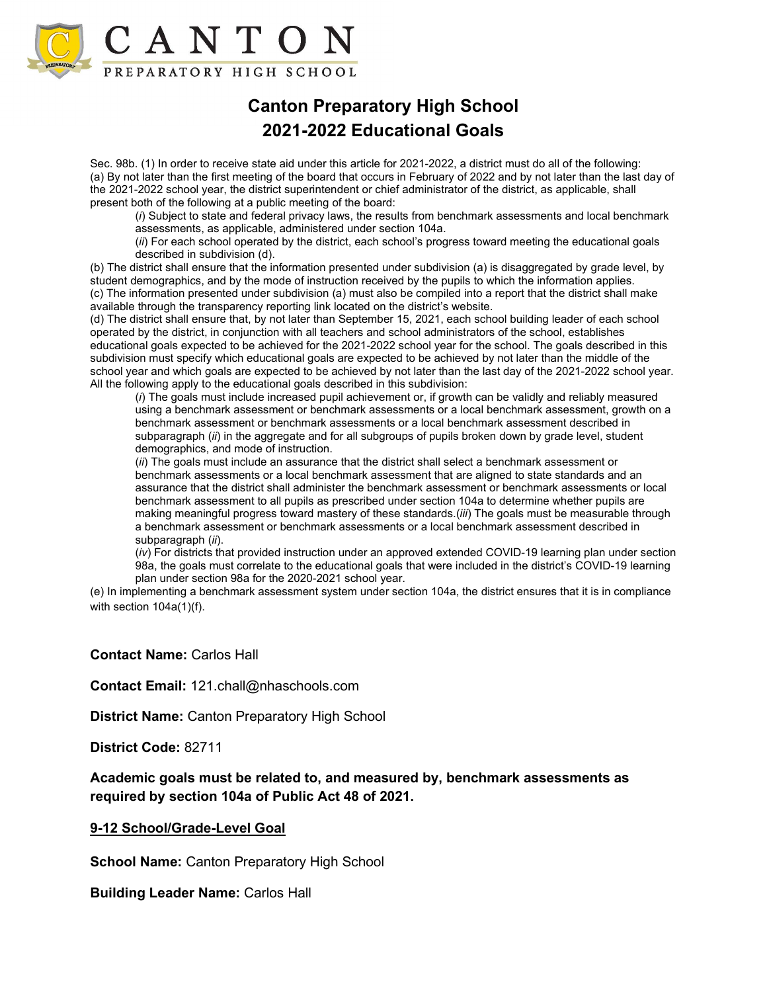

## **Canton Preparatory High School 2021-2022 Educational Goals**

Sec. 98b. (1) In order to receive state aid under this article for 2021-2022, a district must do all of the following: (a) By not later than the first meeting of the board that occurs in February of 2022 and by not later than the last day of the 2021-2022 school year, the district superintendent or chief administrator of the district, as applicable, shall present both of the following at a public meeting of the board:

(*i*) Subject to state and federal privacy laws, the results from benchmark assessments and local benchmark assessments, as applicable, administered under section 104a.

(*ii*) For each school operated by the district, each school's progress toward meeting the educational goals described in subdivision (d).

(b) The district shall ensure that the information presented under subdivision (a) is disaggregated by grade level, by student demographics, and by the mode of instruction received by the pupils to which the information applies. (c) The information presented under subdivision (a) must also be compiled into a report that the district shall make available through the transparency reporting link located on the district's website.

(d) The district shall ensure that, by not later than September 15, 2021, each school building leader of each school operated by the district, in conjunction with all teachers and school administrators of the school, establishes educational goals expected to be achieved for the 2021-2022 school year for the school. The goals described in this subdivision must specify which educational goals are expected to be achieved by not later than the middle of the school year and which goals are expected to be achieved by not later than the last day of the 2021-2022 school year. All the following apply to the educational goals described in this subdivision:

(*i*) The goals must include increased pupil achievement or, if growth can be validly and reliably measured using a benchmark assessment or benchmark assessments or a local benchmark assessment, growth on a benchmark assessment or benchmark assessments or a local benchmark assessment described in subparagraph (*ii*) in the aggregate and for all subgroups of pupils broken down by grade level, student demographics, and mode of instruction.

(*ii*) The goals must include an assurance that the district shall select a benchmark assessment or benchmark assessments or a local benchmark assessment that are aligned to state standards and an assurance that the district shall administer the benchmark assessment or benchmark assessments or local benchmark assessment to all pupils as prescribed under section 104a to determine whether pupils are making meaningful progress toward mastery of these standards.(*iii*) The goals must be measurable through a benchmark assessment or benchmark assessments or a local benchmark assessment described in subparagraph (*ii*).

(*iv*) For districts that provided instruction under an approved extended COVID-19 learning plan under section 98a, the goals must correlate to the educational goals that were included in the district's COVID-19 learning plan under section 98a for the 2020-2021 school year.

(e) In implementing a benchmark assessment system under section 104a, the district ensures that it is in compliance with section 104a(1)(f).

## **Contact Name:** Carlos Hall

**Contact Email:** 121.chall@nhaschools.com

**District Name:** Canton Preparatory High School

**District Code:** 82711

**Academic goals must be related to, and measured by, benchmark assessments as required by section 104a of Public Act 48 of 2021.** 

## **9-12 School/Grade-Level Goal**

**School Name: Canton Preparatory High School** 

**Building Leader Name:** Carlos Hall